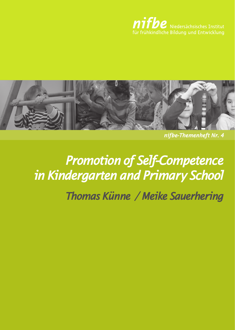

*nifbe-Themenheft Nr. 4*

# *Promotion of Self-Competence in Kindergarten and Primary School*

*Thomas Künne / Meike Sauerhering*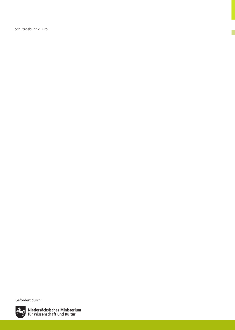Schutzgebühr 2 Euro

Gefördert durch:



Niedersächsisches Ministerium<br>für Wissenschaft und Kultur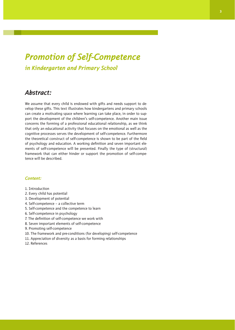# *Promotion of Self-Competence in Kindergarten and Primary School*

### *Abstract:*

We assume that every child is endowed with gifts and needs support to develop these gifts. This text illustrates how kindergartens and primary schools can create a motivating space where learning can take place, in order to support the development of the children's self-competence. Another main issue concerns the forming of a professional educational relationship, as we think that only an educational activity that focuses on the emotional as well as the cognitive processes serves the development of self-competence. Furthermore the theoretical construct of self-competence is shown to be part of the field of psychology and education. A working definition and seven important elements of self-competence will be presented. Finally the type of (structural) framework that can either hinder or support the promotion of self-competence will be described.

#### *Content:*

- 1. Introduction
- 2. Every child has potential
- 3. Development of potential
- 4. Self-competence a collective term
- 5. Self-competence and the competence to learn
- 6. Self-competence in psychology
- 7. The definition of self-competence we work with
- 8. Seven important elements of self-competence
- 9. Promoting self-competence
- 10. The framework and pre-conditions (for developing) self-competence
- 11. Appreciation of diversity as a basis for forming relationships
- 12. References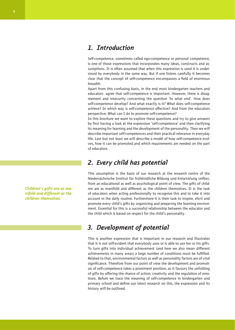### *1. Introduction*

Self-competence, sometimes called ego-competence or personal competence, is one of those expressions that incorporates many ideas, constructs and assumptions. It is often assumed that when this expression is used it is understood by everybody in the same way. But if one listens carefully it becomes clear that the concept of self-competence encompasses a field of enormous breadth.

Apart from this confusing basis, in the end most kindergarten teachers and educators agree that self-competence is important. However, there is disagreement and insecurity concerning the question 'to what end'. How does self-competence develop? And what exactly is it? What does self-competence achieve? In which way is self-competence effective? And from the educators perspective: What can I do to promote self-competence?

In this brochure we want to explore these questions and try to give answers by first having a look at the expression 'self-competence' and then clarifying its meaning for learning and the development of the personality. Then we will describe important self-competences and their practical relevance in everyday life. Last but not least we will describe a model of how self-competence evolves, how it can be promoted and which requirements are needed on the part of educators.

# *2. Every child has potential*

This assumption is the basis of our research at the research centre of the Niedersächsische Institut für frühkindliche Bildung und Entwicklung (nifbe), from an educational as well as psychological point of view. The gifts of children are as manifold and different as the children themselves. It is the task of educators when acting professionally to recognize this and to take it into account in the daily routine. Furthermore it is their task to inspire, elicit and promote every child's gifts by organizing and preparing the learning environment. Essential for this is a successful relationship between the educator and the child which is based on respect for the child's personality.

# *3. Development of potential*

This is another expression that is important in our research and illustrates that it is not self-evident that everybody uses or is able to use her or his gifts. To turn gifts into individual achievement (and here we also mean different achievements in many areas) a large number of conditions must be fulfilled. Related to that, environmental factors as well as personality factors are of vital significance. Therefore from our point of view the development and promotion of self-competence takes a prominent position, as it favours the unfolding of gifts by offering the chance of action, creativity and the regulation of emotions. Before we trace the meaning of self-competence in kindergarten and primary school and define our latest research on this, the expression and its history will be outlined.

*Children's gifts are as manifold and different as the children themselves.*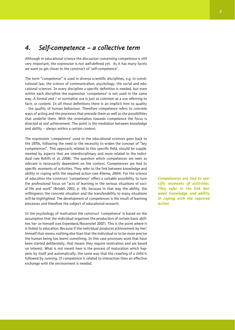### *4. Self-competence – a collective term*

Although in educational science the discussion concerning competence is still very important, the expression is not well-defined yet. As it has many facets we want to get closer to the construct of 'self-competence'.

The term "competence" is used in diverse scientific disciplines, e.g. in constitutional law, the science of communication, psychology, the social and educational sciences. In every discipline a specific definition is needed, but even within each discipline the expression 'competence' is not used in the same way. A formal and / or normative use is just as common as a use referring to facts or content. In all those definitions there is an implicit hint to quality – the quality of human behaviour. Therefore competence refers to concrete ways of acting and the processes that precede them as well as the possibilities that underlie them. With the orientation towards competence the focus is directed at real achievement. The point is the mediation between knowledge and ability – always within a certain context.

The expression 'competence' used in the educational sciences goes back to the 1970s, following the need or the necessity to widen the concept of "key competences". This approach, related to this specific field, should be supplemented by aspects that are interdisciplinary and more related to the individual (see Rohlfs et al, 2008). The question which competences are seen as relevant is necessarily dependent on the context. Competences are tied to specific moments of activities. They refer to the link between knowledge and ability in coping with the required action (see Klieme, 2004). For the science of education the construct 'competence' offers a suitable possibility to turn the professional focus on "acts of learning in the serious situations of social life and work" (Brödel, 2002, p. 39), because in that way the ability, the willingness, the concrete situation and the transferability to many situations will be highlighted. The development of competences is the result of learning processes and therefore the subject of educational research.

In the psychology of motivation the construct 'competence' is based on the assumption that the individual organises the production of certain basic abilities her- or himself (see Erpenbeck/Rosenstiel 2007). This is the point where it is linked to education. Because if the individual produces achievement by her/ himself that means nothing else than that the individual or to be more precise the human being has learnt something. In this case processes work that have been started deliberately, that means they require motivation and are based on interest. What is not meant here is the process of maturation which happens by itself and automatically, the same way that the crawling of a child is followed by running. If competence is related to interaction then an effective exchange with the environment is needed.

*Competences are tied to specific moments of activities. They refer to the link between knowledge and ability in coping with the required action*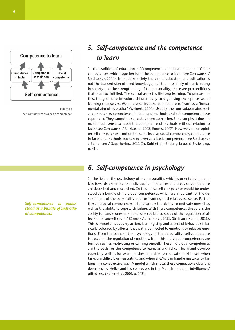

Figure 1 : self-competence as a basic-competence

*Self-competence is understood as a bundle of individual competences*

# *5. Self-competence and the competence to learn*

In the tradition of education, self-competence is understood as one of four competences, which together form the competence to learn (see Czerwanski / Solzbacher, 2004). In modern society the aim of education and cultivation is not the transmission of fixed knowledge, but the possibility of participating in society and the strengthening of the personality, these are preconditions that must be fulfilled. The central aspect is life-long learning. To prepare for this, the goal is to introduce children early to organising their processes of learning themselves. Weinert describes the competence to learn as a 'fundamental aim of education' (Weinert, 2000). Usually the four subdomains social competence, competence in facts and methods and self-competence have equal rank. They cannot be separated from each other. For example, it doesn't make much sense to teach the competence of methods without relating to facts (see Czerwanski / Solzbacher 2002; Engres, 2007). However, in our opinion self-competence is not on the same level as social competence, competence in facts and methods but can be seen as a basic competence (see Solzbacher / Behrensen / Sauerhering, 2011 In: Kuhl et al.: Bildung braucht Beziehung, p. 41).

## *6. Self-competence in psychology*

In the field of the psychology of the personality, which is orientated more or less towards experiments, individual competences and areas of competence are described and researched. In this sense self-competence would be understood as a bundle of individual competences which are important for the development of the personality and for learning in the broadest sense. Part of these personal competences is for example the ability to motivate oneself as well as the ability to cope with failure. With these competences the core is the ability to handle ones emotions, one could also speak of the regulation of affects or of oneself (Kuhl / Künne / Aufhammer, 2011; Strehlau / Künne, 2011). This is important, as every action, learning step and aspect of behaviour is basically coloured by affects, that is it is connected to emotions or releases emotions. From the point of the psychology of the personality, self-competence is based on the regulation of emotions; from this individual competences are formed such as motivating or calming oneself. These individual competences are the basis for the competence to learn, as a child can learn and develop especially well if, for example she/he is able to motivate her/himself when tasks are difficult or frustrating, and when she/he can handle mistakes or failures in a constructive way. A model which shows these connections clearly is described by Heller and his colleagues in the Munich model of intelligence/ giftedness (Heller et.al, 2007, p. 143).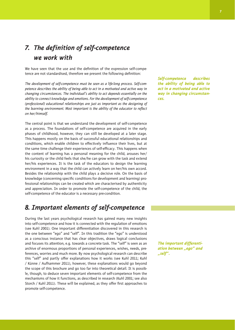# *7. The definition of self-competence we work with*

We have seen that the use and the definition of the expression self-competence are not standardised, therefore we present the following definition:

*The development of self-competence must be seen as a life-long process. Self-competence describes the ability of being able to act in a motivated and active way in changing circumstances. The individual's ability to act depends essentially on the ability to connect knowledge and emotions. For the development of self-competence (professional) educational relationships are just as important as the designing of the learning environment. Most important is the ability of the educator to reflect on her/himself.*

The central point is that we understand the development of self-competence as a process. The foundations of self-competence are acquired in the early phases of childhood, however, they can still be developed at a later stage. This happens mostly on the basis of successful educational relationships and conditions, which enable children to effectively influence their lives, but at the same time challenge their experiences of self-efficacy. This happens when the content of learning has a personal meaning for the child, arouses her/ his curiosity or the child feels that she/he can grow with the task and extend her/his experiences. It is the task of the educators to design the learning environment in a way that the child can actively learn on her/his own accord. Besides the relationship with the child plays a decisive role. On the basis of knowledge (concerning specific conditions for development and learning) professional relationships can be created which are characterised by authenticity and appreciation. In order to promote the self-competence of the child, the self-competence of the educator is a necessary pre-condition.

### *8. Important elements of self-competence*

During the last years psychological research has gained many new insights into self-competence and how it is connected with the regulation of emotions (see Kuhl 2001). One important differentiation discovered in this research is the one between "ego" and "self". In this tradition the "ego" is understood as a conscious instance that has clear objectives, draws logical conclusions and focuses its attention, e.g. towards a concrete task. The "self" is seen as an archive of enormous proportions of personal experiences, wishes, needs, preferences, worries and much more. By now psychological research can describe this "self" and partly offer explanations how it works (see Kuhl 2011; Kuhl / Künne / Aufhammer 2011), however, these explanations would go beyond the scope of this brochure and go too far into theoretical detail. It is possible, though, to deduce seven important elements of self-competence from the mechanisms of how it functions, as described in research (Kuhl 2001; see also Storch / Kuhl 2011). These will be explained, as they offer first approaches to promote self-competence.

*Self-competence describes the ability of being able to act in a motivated and active way in changing circumstances.* 

*The important differentiation between "ego" and "self".*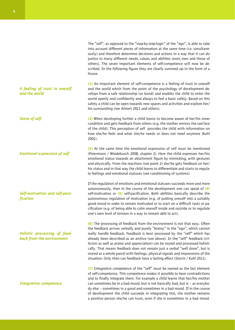The "self", as opposed to the "step-by-step-logic" of the "ego", is able to take into account different pieces of information at the same time (i.e. simultaneously) and therefore determine decisions and actions in a way that it can do justice to many different needs, values and abilities (ones own and those of others). The seven important elements of self-competence will now be described. In the following figure they are clearly summed up in the form of a house.

**(1)** An important element of self-competence is a feeling of trust in oneself and the world which from the point of the psychology of development develops from a safe relationship (or bond) and enables the child to enter the world openly and confidently and always to feel a basic safety. Based on this safety a child can be open towards new spaces and activities and explore her/ his surrounding (see Ahnert 2011 and others).

**(2)** When developing further a child learns to become aware of her/his inner condition and gets feedback from others (e.g. the mother mirrors the sad face of the child). This perception of self provides the child with information on how she/he feels and what she/he needs or does not need anymore (Kuhl 2001).

**(3)** At the same time the emotional expression of self must be mentioned (Petermann / Wiedebusch 2008, chapter 2). Here the child expresses her/his emotional status towards an attachment figure by mimicking, with gestures and physically. From the reactions (see point 2) she/he gets feedback on her/ his status and in that way the child learns to differentiate and starts to regulate feelings and emotional statuses (see conditioning of systems).

If the regulation of emotions and emotional statuses succeeds more and more autonomously, then in the course of the development one can speak of **(4)**  self-motivation or **(5)** self-pacification. Both abilities basically describe the autonomous regulation of motivation (e.g. of putting oneself into a suitably good mood in order to remain motivated or to start on a difficult task) or pacification (e.g. of being able to calm oneself inside and outside or to regulate one's own level of tension in a way to remain able to act).

**(6)** The processing of feedback from the environment is not that easy. Often the feedback arrives verbally and purely "brainy" in the "ego", which cannot really handle feedback. Feedback is best processed by the "self" which has already been described as an archive (see above). In the "self" feedback (criticism as well as praise and appreciation) can be stored and processed holistically. That means feedback does not remain just a verbal "well done", but is stored as a whole parcel with feelings, physical signals and impressions of the situation. Only then can feedback have a lasting effect (Storch / Kuhl 2011).

**(7)** Integrative competence of the "self" must be named as the last element of self-competence. This competence makes it possible to bear contradictions and to finally integrate them. For example a child learns that her/his mother can sometimes be in a bad mood, but is not basically bad, but is – as everybody else – sometimes in a good and sometimes in a bad mood. If in the course of development the child succeeds in integrating this, the mother remains a positive person she/he can trust, even if she is sometimes in a bad mood.

*A feeling of trust in oneself and the world*

*Sense of self*

*Emotional expression of self*

*Self-motivation and self-pacification*

*Holistic processing of feedback from the environment*

*Integrative competence*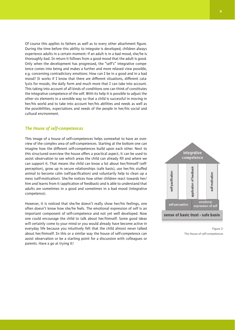Of course this applies to fathers as well as to every other attachment figure. During the time before this ability to integrate is developed, children always experience adults in a certain moment: if an adult is in a bad mood, she/he is thoroughly bad. In return it follows from a good mood that the adult is good. Only when the development has progressed, the "self's" integrative competence comes into being and makes a further and more relaxed view possible, e.g. concerning contradictory emotions: How can I be in a good and in a bad mood? It works if I know that there are different situations, different catalysts for moods, the daily form and much more that I can take into account. This taking into account of all kinds of conditions one can think of constitutes the integrative competence of the self. With its help it is possible to adjust the other six elements in a sensible way so that a child is successful in moving in her/his world and to take into account her/his abilities and needs as well as the possibilities, expectations and needs of the people in her/his social and cultural environment.

#### *The House of self-competences*

This image of a house of self-competences helps somewhat to have an overview of the complex area of self-competences. Starting at the bottom one can imagine how the different self-competences build upon each other. Next to this structured overview the house offers a practical aspect, it can be used to assist observation to see which areas the child can already fill and where we can support it. That means the child can know a lot about her/himself (selfperception), grow up in secure relationships (safe basis), use her/his stuffed animal to become calm (self-pacification) and voluntarily help to clean up a mess (self-motivation). She/he notices how other children react towards her/ him and learns from it (application of feedback) and is able to understand that adults are sometimes in a good and sometimes in a bad mood (integrative competence).

However, it is noticed that she/he doesn't really show her/his feelings, one often doesn't know how she/he feels. The emotional expression of self is an important component of self-competence and not yet well developed. Now one could encourage the child to talk about her/himself. Some good ideas will certainly come to your mind or you would already have become active in everyday life because you intuitively felt that the child almost never talked about her/himself. In this or a similar way the house of self-competence can assist observation or be a starting point for a discussion with colleagues or parents. Have a go at trying it!



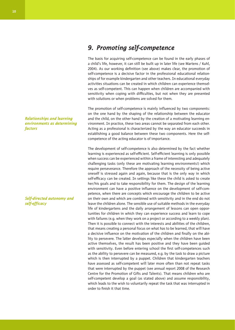**10**

#### *Relationships and learning environments as determining factors*

#### *Self-directed autonomy and self-efficacy*

# *9. Promoting self-competence*

The basis for acquiring self-competence can be found in the early phases of a child's life, however, it can still be built up in later life (see Martens / Kuhl, 2004). As our working definition (see above) makes clear, the promotion of self-competence is a decisive factor in the professional educational relationships of for example kindergarten and other teachers. In educational everyday activities situations can be created in which children can experience themselves as self-competent. This can happen when children are accompanied with sensitivity when coping with difficulties, but not when they are presented with solutions or when problems are solved for them.

The promotion of self-competence is mainly influenced by two components: on the one hand by the shaping of the relationship between the educator and the child, on the other hand by the creation of a motivating learning environment. In practice, these two areas cannot be separated from each other. Acting as a professional is characterized by the way an educator succeeds in establishing a good balance between these two components. Here the selfcompetence of the acting educator is of importance.

The development of self-competence is also determined by the fact whether learning is experienced as self-efficient. Self-efficient learning is only possible when success can be experienced within a frame of interesting and adequately challenging tasks (only these are motivating learning environments!) which require perseverance. Therefore the approach of the necessity of being active oneself is stressed again and again, because that is the only way in which self-efficacy can be created. In settings like these the child is asked to create her/his goals and to take responsibility for them. The design of the learning environment can have a positive influence on the development of self-competence, when there are concepts which encourage the children to be active on their own and which are combined with sensitivity and in the end do not leave the children alone. The sensible use of suitable methods in the everyday life of kindergartens and the daily arrangement of lessons can open opportunities for children in which they can experience success and learn to cope with failures (e.g. when they work on a project or according to a weekly plan). Then it is possible to connect with the interests and abilities of the children, that means creating a personal focus on what has to be learned, that will have a decisive influence on the motivation of the children and finally on the ability to persevere. The latter develops especially when the children have been active themselves, the result has been positive and they have been guided with sensitivity. Even before entering school the first self-competences such as the ability to persevere can be measured, e.g. by the task to draw a picture which is then interrupted by a puppet. Children that kindergarten teachers have assessed as self-competent will later more often than not repeat tasks that were interrupted by the puppet (see annual report 2008 of the Research Centre for the Promotion of Gifts and Talents). That means children who are self-competent develop a goal (as stated above) and assume responsibility, which leads to the wish to voluntarily repeat the task that was interrupted in order to finish it that time.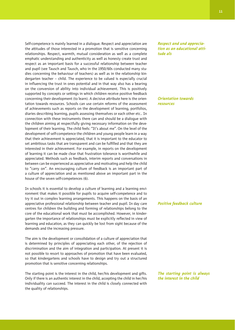Self-competence is mainly learned in a dialogue. Respect and appreciation are the attitudes of those interested in a promotion that is sensitive concerning relationships. Respect, warmth, mutual consideration as well as a complete emphatic understanding and authenticity as well as honesty create trust and respect as an important basis for a successful relationship between teacher and pupil (see Tausch and Tausch, who in the 1950/60s conducted many studies concerning the behaviour of teachers) as well as in the relationship kindergarten teacher – child. The experience to be valued is especially crucial in influencing the trust in ones potential and in that way also has a bearing on the conversion of ability into individual achievement. This is positively supported by concepts or settings in which children receive positive feedback concerning their development (to learn). A decisive attribute here is the orientation towards resources. Schools can use certain reforms of the assessment of achievements such as reports on the development of learning, portfolios, diaries describing learning, pupils assessing themselves or each other etc.. In connection with these instruments there can and should be a dialogue with the children aiming at respectfully giving necessary information on the development of their learning. The child feels: "It's about me". On the level of the development of self-competence the children and young people learn in a way that their achievement is appreciated, that it is important to the educator to set ambitious tasks that are transparent and can be fulfilled and that they are interested in their achievement. For example, in reports on the development of learning it can be made clear that frustration tolerance is worthwhile and appreciated. Methods such as feedback, interim reports and conversations in between can be experienced as appreciative and motivating and help the child to "carry on". An encouraging culture of feedback is an important part of a culture of appreciation and as mentioned above an important part in the house of the seven self-competences (6).

In schools it is essential to develop a culture of learning and a learning environment that makes it possible for pupils to acquire self-competence and to try it out in complex learning arrangements. This happens on the basis of an appreciative professional relationship between teacher and pupil. In day care centres for children the building and forming of relationships belong to the core of the educational work that must be accomplished. However, in kindergarten the importance of relationships must be explicitly reflected in view of learning and education, as they can quickly be lost from sight because of the demands and the increasing pressure.

The aim is the development or consolidation of a culture of appreciation that is determined by principles of appreciating each other, of the rejection of discrimination and the aim of integration and participation. At present it is not possible to resort to approaches of promotion that have been evaluated, so that kindergartens and schools have to design and try out a structured promotion that is sensitive concerning relationships.

The starting point is the interest in the child, her/his development and gifts. Only if there is an authentic interest in the child, accepting the child in her/his individuality can succeed. The interest in the child is closely connected with the quality of relationships.

*Respect and und appreciation as an educational attitude als* 

*Orientation towards resources*

#### *Positive feedback culture*

*The starting point is always the interest in the child*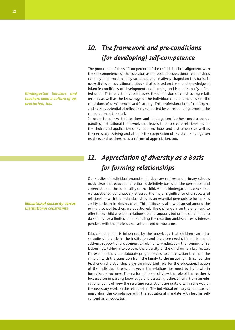# *10. The framework and pre-conditions (for developing) self-competence*

The promotion of the self-competence of the child is in close alignment with the self-competence of the educator, as professional educational relationships can only be formed, reliably sustained and creatively shaped on this basis. It necessitates an educational attitude that is based on the sound knowledge of infantile conditions of development and learning and is continuously reflected upon. This reflection encompasses the dimension of constructing relationships as well as the knowledge of the individual child and her/his specific conditions of development and learning. This professionalism of the expert and her/his potential of reflection is supported by corresponding forms of the cooperation of the staff.

In order to achieve this teachers and kindergarten teachers need a corresponding institutional framework that leaves time to create relationships for the choice and application of suitable methods and instruments as well as the necessary training and also for the cooperation of the staff. Kindergarten teachers and teachers need a culture of appreciation, too.

# *11. Appreciation of diversity as a basis for forming relationships*

Our studies of individual promotion in day care centres and primary schools made clear that educational action is definitely based on the perception and appreciation of the personality of the child. All the kindergarten teachers that we questioned continuously stressed the major significance of a successful relationship with the individual child as an essential prerequisite for her/his ability to learn in kindergarten. This attitude is also widespread among the primary school teachers we questioned. The challenge is on the one hand to offer to the child a reliable relationship and support, but on the other hand to do so only for a limited time. Handling the resulting ambivalences is interdependent with the professional self-concept of educators.

Educational action is influenced by the knowledge that children can behave quite differently in the institution and therefore need different forms of address, support and closeness. In elementary education the forming of relationships, taking into account the diversity of the children, is a key matter. For example there are elaborate programmes of acclimatisation that help the children with the transition from the family to the institution. In school the teacher-child-relationship plays an important role for the educational action of the individual teacher, however the relationships must be built within formalised structures. From a formal point of view the role of the teacher is focussed on imparting knowledge and assessing achievement. From an educational point of view the resulting restrictions are quite often in the way of the necessary work on the relationship. The individual primary school teacher must align the compliance with the educational mandate with her/his selfconcept as an educator.

*Kindergarten teachers and teachers need a culture of appreciation, too.*

*Educational neccesity versus institutional constraints*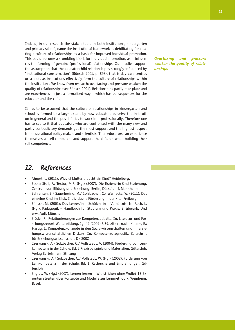Indeed, in our research the stakeholders in both institutions, kindergarten and primary school, name the institutional framework as debilitating for creating a culture of relationships as a basis for improved individual promotion. This could become a stumbling block for individual promotion, as it influences the forming of genuine (professional) relationships. Our studies support the assumption that the educator-child-relationship is strongly influenced by "institutional consternation" (Bönsch 2001, p. 898), that is day care centres or schools as institutions effectively form the culture of relationships within the institutions. We know from research: overtaxing and pressure weaken the quality of relationships (see Bönsch 2001). Relationships partly take place and are experienced in just a formalised way – which has consequences for the educator and the child.

It has to be assumed that the culture of relationships in kindergarten and school is formed to a large extent by how educators perceive the institution in general and the possibilities to work in it professionally. Therefore one has to see to it that educators who are confronted with the many new and partly contradictory demands get the most support and the highest respect from educational policy makers and scientists. Then educators can experience themselves as self-competent and support the children when building their self-competence.

### *12. References*

- Ahnert, L. (2011), Wieviel Mutter braucht ein Kind? Heidelberg.
- Becker-Stoll, F.; Textor, M.R. (Hg.) (2007), Die Erzieherin-Kind-Beziehung. Zentrum von Bildung und Erziehung. Berlin, Düsseldorf, Mannheim.
- Behrensen, B./ Sauerhering, M./ Solzbacher, C./ Warnecke, W. (2011): Das einzelne Kind im Blick. Individuelle Förderung in der Kita. Freiburg.
- Bönsch, M. (2001): Das Lehrer/in Schüler/ in Verhältnis. In: Roth, L. (Hg.): Pädagogik – Handbuch für Studium und Praxis. 2. überarb. Und erw. Aufl. München.
- Brödel, R.: Relationierungen zur Kompetenzdebatte. In: Literatur- und Forschungsreport Weiterbildung. Jg. 49 (2002) S.39. zitiert nach: Klieme, E.; Hartig, J.: Kompetenzkonzepte in den Sozialwissenschaften und im erziehungswissenschaftlichen Diskurs. In: Kompetenzdiagnostik. Zeitschrift für Erziehungswissenschaft 8 / 2007.
- Czerwansk, A./ Solzbacher, C./ Vollstaedt, V. (2004), Förderung von Lernkompetenz in der Schule, Bd. 2 Praxisbeispiele und Materialien, Gütersloh, Verlag Bertelsmann Stiftung
- Czerwanski, A./ Solzbacher, C./ Vollstädt, W. (Hg.) (2002): Förderung von Lernkompetenz in der Schule. Bd. 1: Recherche und Empfehlungen. Gütersloh
- Engres, W. (Hg.) (2007), Lernen lernen Wie stricken ohne Wolle? 13 Experten streiten über Konzepte und Modelle zur Lernmethodik. Weinheim; Basel.

*Overtaxing and pressure weaken the quality of relationships*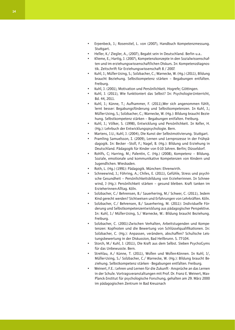- Erpenbeck, J.; Rosenstiel, L. von (2007), Handbuch Kompetenzmessung. Stuttgart.
- Heller, K./ Ziegler, A., (2007), Begabt sein in Deutschland. Berlin u.a..
- Klieme, E.; Hartig, J. (2007), Kompetenzkonzepte in den Sozialwissenschaften und im erziehungswissenschaftlichen Diskurs. In: Kompetenzdiagnostik. Zeitschrift für Erziehungswissenschaft 8 / 2007.
- Kuhl, J.: Müller-Using, S.: Solzbacher, C.: Warnecke, W. (Hg.) (2011), Bildung braucht Beziehung. Selbstkompetenz stärken – Begabungen entfalten. Freiburg.
- Kuhl, J. (2001), Motivation und Persönlichkeit. Hogrefe; Göttingen.
- Kuhl, J. (2011), Wie funktioniert das Selbst? In: Psychologie-Unterricht, Bd. 44, 2011.
- Kuhl, J.; Künne, T.; Aufhammer, F. (2011), Wer sich angenommen fühlt, lernt besser: Begabungsförderung und Selbstkompetenzen. In Kuhl, J.; Müller-Using, S.; Solzbacher, C.; Warnecke, W. (Hg.): Bildung braucht Bezie hung. Selbstkompetenz stärken – Begabungen entfalten. Freiburg.
- Kuhl, J.; Völker, S. (1998), Entwicklung und Persönlichkeit. In Keller, H. (Hg.): Lehrbuch der Entwicklungspsychologie. Bern.
- Martens, J.U.; Kuhl, J. (2004), Die Kunst der Selbstmotivierung. Stuttgart.
- Pramling Samuelsson, I. (2009), Lernen und Lernprozesse in der Frühpä- dagogik. In: Becker –Stoll, F.; Nagel, B. (Hg.): Bildung und Erziehung in Deutschland. Pädagogik für Kinder von 0-10 Jahren. Berlin; Düsseldorf.
- Rohlfs, C; Harring, M.; Palentin, C. (Hg.) (2008), Kompetenz Bildung. Soziale, emotionale und kommunikative Kompetenzen von Kindern und Jugendlichen. Wiesbaden.
- Roth, L. (Hg.) (1991): Pädagogik. München: Ehrenwirth.
- Schneewind, J.; Föhring, A.; Chiles, E. (2011), Gefühle, Stress und psychi- sche Gesundheit – Persönlichkeitsbildung von Erzieherinnen. In Schnee wind, J (Hg.): Persönlichkeit stärken – gesund bleiben. Kraft tanken im Erzieherinnen-Alltag. Köln.
- Solzbacher, C./ Behrensen, B./ Sauerhering, M./ Schwer, C. (2011), Jedem Kind gerecht werden? Sichtweisen und Erfahrungen von Lehrkräften. Köln.
- Solzbacher, C./ Behrensen, B./ Sauerhering, M. (2011): Individuelle För- derung und Selbstkompetenzentwicklung aus pädagogischer Perspektive. In: Kuhl, J./ Müller-Using, S./ Warnecke, W.: Bildung braucht Beziehung. Freiburg.
- Solzbacher, C. (2001):Zwischen Verhalten, Arbeitstugenden und Kompe- tenzen: Kopfnoten und die Bewertung von Schlüsselqualifikationen. In: Solzbacher, C. (Hg.): Anpassen, verändern, abschaffen? Schulische Leis tungsbewertung in der Diskussion, Bad Heilbrunn. S. 77-104.
- Storch, M./ Kuhl, J. (2011), Die Kraft aus dem Selbst. Sieben PsychoGyms für das Unbewusste. Bern.
- Strehlau, A./ Künne, T. (2011), Wollen und Wollen-Können. In Kuhl, J/, Müller-Using, S./ Solzbacher, C./ Warnecke, W. (Hg.): Bildung braucht Be ziehung. Selbstkompetenz stärken - Begabungen entfalten. Freiburg.
- Weinert, F.E.: Lehren und Lernen für die Zukunft Ansprüche an das Lernen in der Schule. Vortragsveranstaltungen mit Prof. Dr. Franz E. Weinert, Max-Planck-Institut für psychologische Forschung, gehalten am 29. März 2000 im pädagogischen Zentrum in Bad Kreuznach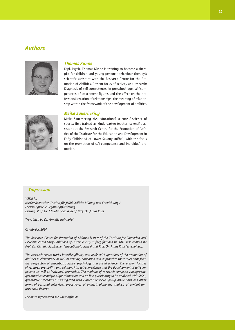### *Authors*



#### *Thomas Künne*

Dipl. Psych. Thomas Künne is training to become a therapist for children and young persons (behaviour therapy); scientific assistant with the Research Centre for the Promotion of Abilities. Present focus of activity and research: Diagnosis of self-competences in pre-school age, self-competences of attachment figures and the effect on the professional creation of relationships, the meaning of relationship within the framework of the development of abilities.

#### *Meike Sauerhering*



Meike Sauerhering MA, educational science / science of sports; first trained as kindergarten teacher; scientific assistant at the Research Centre for the Promotion of Abilities of the Institute for the Education and Development in Early Childhood of Lower Saxony (nifbe), with the focus on the promotion of self-competence and individual promotion.

#### *Impressum*

*V.iS.d.P.:* 

*Niedersächsisches Institut für frühkindliche Bildung und Entwicklung / Forschungsstelle Begabungsförderung Leitung: Prof. Dr. Claudia Solzbacher / Prof. Dr. Julius Kuhl*

*Translated by Dr. Annette Heinbokel*

*Osnabrück 2014*

*The Research Centre for Promotion of Abilities is part of the Institute for Education and Development in Early Childhood of Lower Saxony (nifbe), founded in 2007. It is chaired by Prof. Dr. Claudia Solzbacher (educational science) und Prof. Dr. Julius Kuhl (psychology).*

*The research centre works interdisciplinary and deals with questions of the promotion of abilities in elementary as well as primary education and approaches these ques-tions from the perspective of education science, psychology and social science. The present focuses of research are ability and relationship, self-competence and the de-velopment of self-competence as well as individual promotion. The methods of re-search comprise videography, quantitative techniques (questionnaires and on-line questioning to be analysed with SPSS), qualitative procedures (investigation with expert interviews, group discussions and other forms of personal interviews proced-ures of analysis along the analysis of content and grounded theory).*

*For more information see www.nifbe.de*